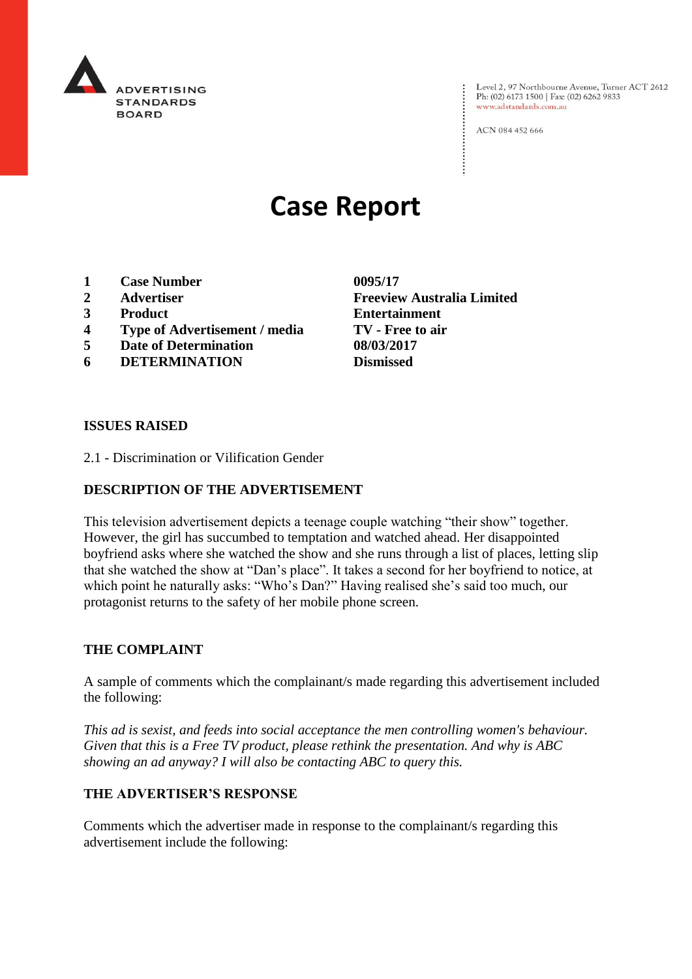

Level 2, 97 Northbourne Avenue, Turner ACT 2612<br>Ph: (02) 6173 1500 | Fax: (02) 6262 9833 www.adstandards.com.au

ACN 084 452 666

# **Case Report**

- **1 Case Number 0095/17**
- 
- 
- **4 Type of Advertisement / media TV - Free to air**
- **5 Date of Determination 08/03/2017**
- **6 DETERMINATION Dismissed**

**2 Advertiser Freeview Australia Limited 3 Product Entertainment**

#### **ISSUES RAISED**

2.1 - Discrimination or Vilification Gender

# **DESCRIPTION OF THE ADVERTISEMENT**

This television advertisement depicts a teenage couple watching "their show" together. However, the girl has succumbed to temptation and watched ahead. Her disappointed boyfriend asks where she watched the show and she runs through a list of places, letting slip that she watched the show at "Dan's place". It takes a second for her boyfriend to notice, at which point he naturally asks: "Who's Dan?" Having realised she's said too much, our protagonist returns to the safety of her mobile phone screen.

## **THE COMPLAINT**

A sample of comments which the complainant/s made regarding this advertisement included the following:

*This ad is sexist, and feeds into social acceptance the men controlling women's behaviour. Given that this is a Free TV product, please rethink the presentation. And why is ABC showing an ad anyway? I will also be contacting ABC to query this.*

#### **THE ADVERTISER'S RESPONSE**

Comments which the advertiser made in response to the complainant/s regarding this advertisement include the following: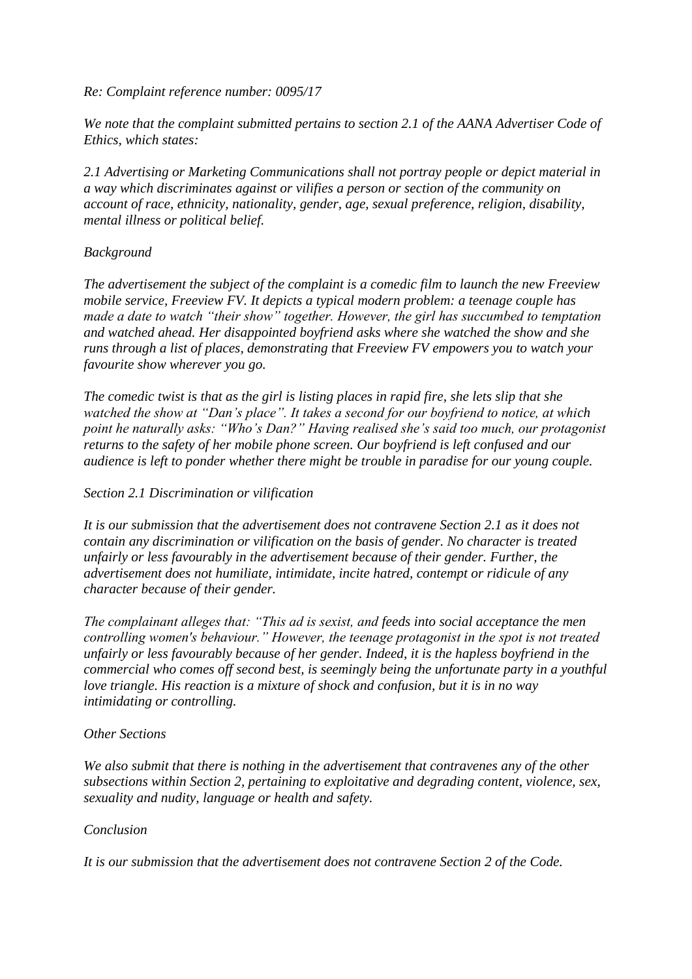# *Re: Complaint reference number: 0095/17*

*We note that the complaint submitted pertains to section 2.1 of the AANA Advertiser Code of Ethics, which states:*

*2.1 Advertising or Marketing Communications shall not portray people or depict material in a way which discriminates against or vilifies a person or section of the community on account of race, ethnicity, nationality, gender, age, sexual preference, religion, disability, mental illness or political belief.*

# *Background*

*The advertisement the subject of the complaint is a comedic film to launch the new Freeview mobile service, Freeview FV. It depicts a typical modern problem: a teenage couple has made a date to watch "their show" together. However, the girl has succumbed to temptation and watched ahead. Her disappointed boyfriend asks where she watched the show and she runs through a list of places, demonstrating that Freeview FV empowers you to watch your favourite show wherever you go.*

*The comedic twist is that as the girl is listing places in rapid fire, she lets slip that she watched the show at "Dan's place". It takes a second for our boyfriend to notice, at which point he naturally asks: "Who's Dan?" Having realised she's said too much, our protagonist returns to the safety of her mobile phone screen. Our boyfriend is left confused and our audience is left to ponder whether there might be trouble in paradise for our young couple.*

# *Section 2.1 Discrimination or vilification*

*It is our submission that the advertisement does not contravene Section 2.1 as it does not contain any discrimination or vilification on the basis of gender. No character is treated unfairly or less favourably in the advertisement because of their gender. Further, the advertisement does not humiliate, intimidate, incite hatred, contempt or ridicule of any character because of their gender.*

*The complainant alleges that: "This ad is sexist, and feeds into social acceptance the men controlling women's behaviour." However, the teenage protagonist in the spot is not treated unfairly or less favourably because of her gender. Indeed, it is the hapless boyfriend in the commercial who comes off second best, is seemingly being the unfortunate party in a youthful love triangle. His reaction is a mixture of shock and confusion, but it is in no way intimidating or controlling.*

## *Other Sections*

*We also submit that there is nothing in the advertisement that contravenes any of the other subsections within Section 2, pertaining to exploitative and degrading content, violence, sex, sexuality and nudity, language or health and safety.*

## *Conclusion*

*It is our submission that the advertisement does not contravene Section 2 of the Code.*